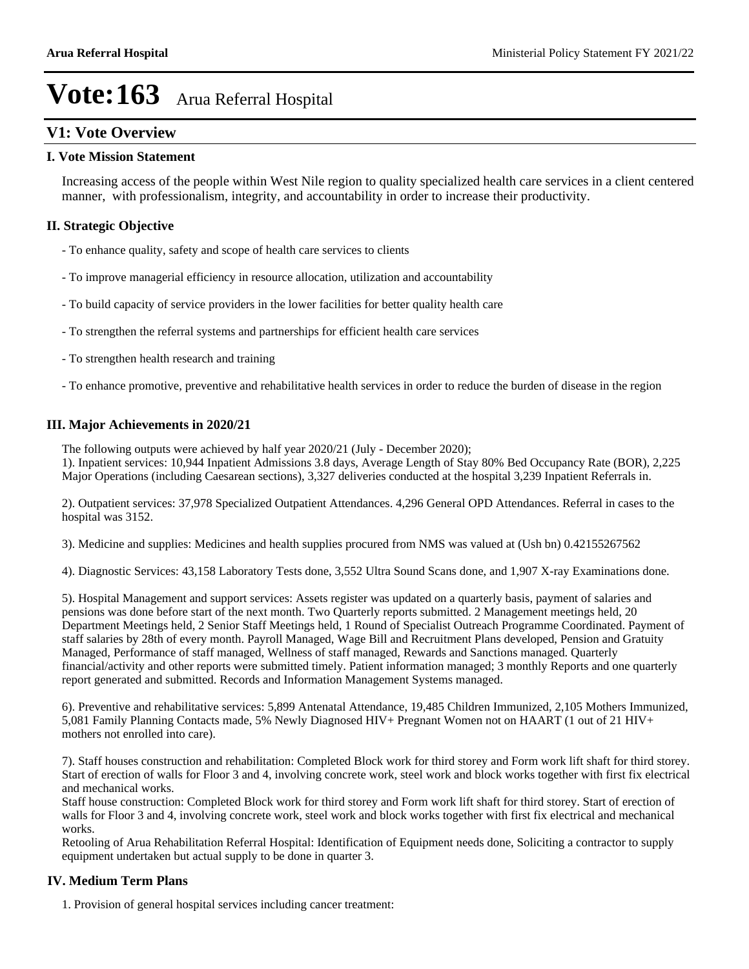#### **V1: Vote Overview**

#### **I. Vote Mission Statement**

Increasing access of the people within West Nile region to quality specialized health care services in a client centered manner, with professionalism, integrity, and accountability in order to increase their productivity.

#### **II. Strategic Objective**

- To enhance quality, safety and scope of health care services to clients
- To improve managerial efficiency in resource allocation, utilization and accountability
- To build capacity of service providers in the lower facilities for better quality health care
- To strengthen the referral systems and partnerships for efficient health care services
- To strengthen health research and training
- To enhance promotive, preventive and rehabilitative health services in order to reduce the burden of disease in the region

#### **III. Major Achievements in 2020/21**

The following outputs were achieved by half year 2020/21 (July - December 2020);

1). Inpatient services: 10,944 Inpatient Admissions 3.8 days, Average Length of Stay 80% Bed Occupancy Rate (BOR), 2,225 Major Operations (including Caesarean sections), 3,327 deliveries conducted at the hospital 3,239 Inpatient Referrals in.

2). Outpatient services: 37,978 Specialized Outpatient Attendances. 4,296 General OPD Attendances. Referral in cases to the hospital was 3152.

3). Medicine and supplies: Medicines and health supplies procured from NMS was valued at (Ush bn) 0.42155267562

4). Diagnostic Services: 43,158 Laboratory Tests done, 3,552 Ultra Sound Scans done, and 1,907 X-ray Examinations done.

5). Hospital Management and support services: Assets register was updated on a quarterly basis, payment of salaries and pensions was done before start of the next month. Two Quarterly reports submitted. 2 Management meetings held, 20 Department Meetings held, 2 Senior Staff Meetings held, 1 Round of Specialist Outreach Programme Coordinated. Payment of staff salaries by 28th of every month. Payroll Managed, Wage Bill and Recruitment Plans developed, Pension and Gratuity Managed, Performance of staff managed, Wellness of staff managed, Rewards and Sanctions managed. Quarterly financial/activity and other reports were submitted timely. Patient information managed; 3 monthly Reports and one quarterly report generated and submitted. Records and Information Management Systems managed.

6). Preventive and rehabilitative services: 5,899 Antenatal Attendance, 19,485 Children Immunized, 2,105 Mothers Immunized, 5,081 Family Planning Contacts made, 5% Newly Diagnosed HIV+ Pregnant Women not on HAART (1 out of 21 HIV+ mothers not enrolled into care).

7). Staff houses construction and rehabilitation: Completed Block work for third storey and Form work lift shaft for third storey. Start of erection of walls for Floor 3 and 4, involving concrete work, steel work and block works together with first fix electrical and mechanical works.

Staff house construction: Completed Block work for third storey and Form work lift shaft for third storey. Start of erection of walls for Floor 3 and 4, involving concrete work, steel work and block works together with first fix electrical and mechanical works.

Retooling of Arua Rehabilitation Referral Hospital: Identification of Equipment needs done, Soliciting a contractor to supply equipment undertaken but actual supply to be done in quarter 3.

#### **IV. Medium Term Plans**

1. Provision of general hospital services including cancer treatment: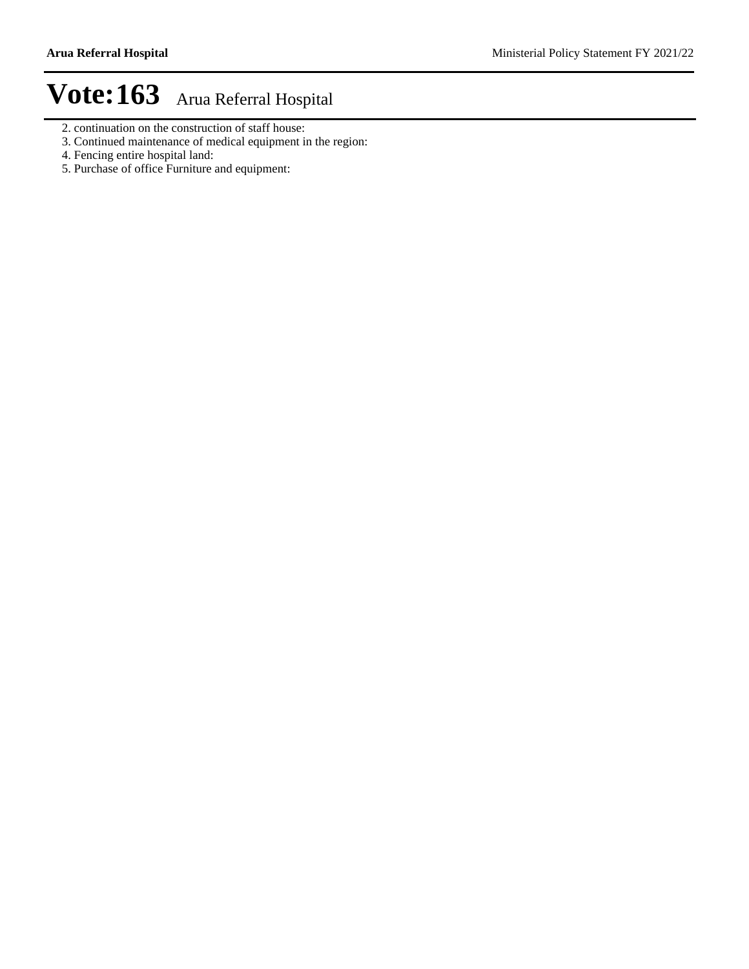- 2. continuation on the construction of staff house:
- 3. Continued maintenance of medical equipment in the region:
- 4. Fencing entire hospital land:
- 5. Purchase of office Furniture and equipment: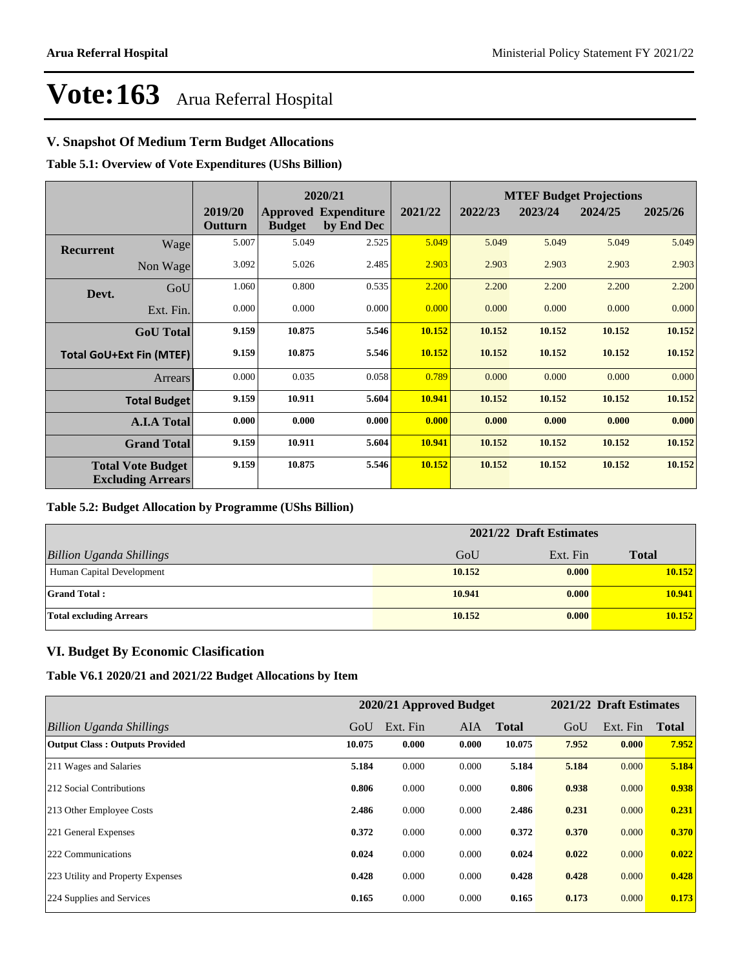#### **V. Snapshot Of Medium Term Budget Allocations**

**Table 5.1: Overview of Vote Expenditures (UShs Billion)**

|                  |                                                      |                    |               | 2020/21                                   |         | <b>MTEF Budget Projections</b> |         |         |         |
|------------------|------------------------------------------------------|--------------------|---------------|-------------------------------------------|---------|--------------------------------|---------|---------|---------|
|                  |                                                      | 2019/20<br>Outturn | <b>Budget</b> | <b>Approved Expenditure</b><br>by End Dec | 2021/22 | 2022/23                        | 2023/24 | 2024/25 | 2025/26 |
| <b>Recurrent</b> | Wage                                                 | 5.007              | 5.049         | 2.525                                     | 5.049   | 5.049                          | 5.049   | 5.049   | 5.049   |
|                  | Non Wage                                             | 3.092              | 5.026         | 2.485                                     | 2.903   | 2.903                          | 2.903   | 2.903   | 2.903   |
| Devt.            | GoU                                                  | 1.060              | 0.800         | 0.535                                     | 2.200   | 2.200                          | 2.200   | 2.200   | 2.200   |
|                  | Ext. Fin.                                            | 0.000              | 0.000         | 0.000                                     | 0.000   | 0.000                          | 0.000   | 0.000   | 0.000   |
|                  | <b>GoU</b> Total                                     | 9.159              | 10.875        | 5.546                                     | 10.152  | 10.152                         | 10.152  | 10.152  | 10.152  |
|                  | <b>Total GoU+Ext Fin (MTEF)</b>                      | 9.159              | 10.875        | 5.546                                     | 10.152  | 10.152                         | 10.152  | 10.152  | 10.152  |
|                  | Arrears                                              | 0.000              | 0.035         | 0.058                                     | 0.789   | 0.000                          | 0.000   | 0.000   | 0.000   |
|                  | <b>Total Budget</b>                                  | 9.159              | 10.911        | 5.604                                     | 10.941  | 10.152                         | 10.152  | 10.152  | 10.152  |
|                  | <b>A.I.A Total</b>                                   | 0.000              | 0.000         | 0.000                                     | 0.000   | 0.000                          | 0.000   | 0.000   | 0.000   |
|                  | <b>Grand Total</b>                                   | 9.159              | 10.911        | 5.604                                     | 10.941  | 10.152                         | 10.152  | 10.152  | 10.152  |
|                  | <b>Total Vote Budget</b><br><b>Excluding Arrears</b> | 9.159              | 10.875        | 5.546                                     | 10.152  | 10.152                         | 10.152  | 10.152  | 10.152  |

#### **Table 5.2: Budget Allocation by Programme (UShs Billion)**

|                                 | 2021/22 Draft Estimates |          |              |  |  |
|---------------------------------|-------------------------|----------|--------------|--|--|
| <b>Billion Uganda Shillings</b> | GoU                     | Ext. Fin | <b>Total</b> |  |  |
| Human Capital Development       | 10.152                  | 0.000    | 10.152       |  |  |
| <b>Grand Total:</b>             | 10.941                  | 0.000    | 10.941       |  |  |
| <b>Total excluding Arrears</b>  | 10.152                  | 0.000    | 10.152       |  |  |

#### **VI. Budget By Economic Clasification**

**Table V6.1 2020/21 and 2021/22 Budget Allocations by Item**

|                                       |        | 2020/21 Approved Budget |            |              |       | 2021/22 Draft Estimates |              |
|---------------------------------------|--------|-------------------------|------------|--------------|-------|-------------------------|--------------|
| Billion Uganda Shillings              | GoU    | Ext. Fin                | <b>AIA</b> | <b>Total</b> | GoU   | Ext. Fin                | <b>Total</b> |
| <b>Output Class: Outputs Provided</b> | 10.075 | 0.000                   | 0.000      | 10.075       | 7.952 | 0.000                   | 7.952        |
| 211 Wages and Salaries                | 5.184  | 0.000                   | 0.000      | 5.184        | 5.184 | 0.000                   | 5.184        |
| 212 Social Contributions              | 0.806  | 0.000                   | 0.000      | 0.806        | 0.938 | 0.000                   | 0.938        |
| 213 Other Employee Costs              | 2.486  | 0.000                   | 0.000      | 2.486        | 0.231 | 0.000                   | 0.231        |
| 221 General Expenses                  | 0.372  | 0.000                   | 0.000      | 0.372        | 0.370 | 0.000                   | 0.370        |
| 222 Communications                    | 0.024  | 0.000                   | 0.000      | 0.024        | 0.022 | 0.000                   | 0.022        |
| 223 Utility and Property Expenses     | 0.428  | 0.000                   | 0.000      | 0.428        | 0.428 | 0.000                   | 0.428        |
| 224 Supplies and Services             | 0.165  | 0.000                   | 0.000      | 0.165        | 0.173 | 0.000                   | 0.173        |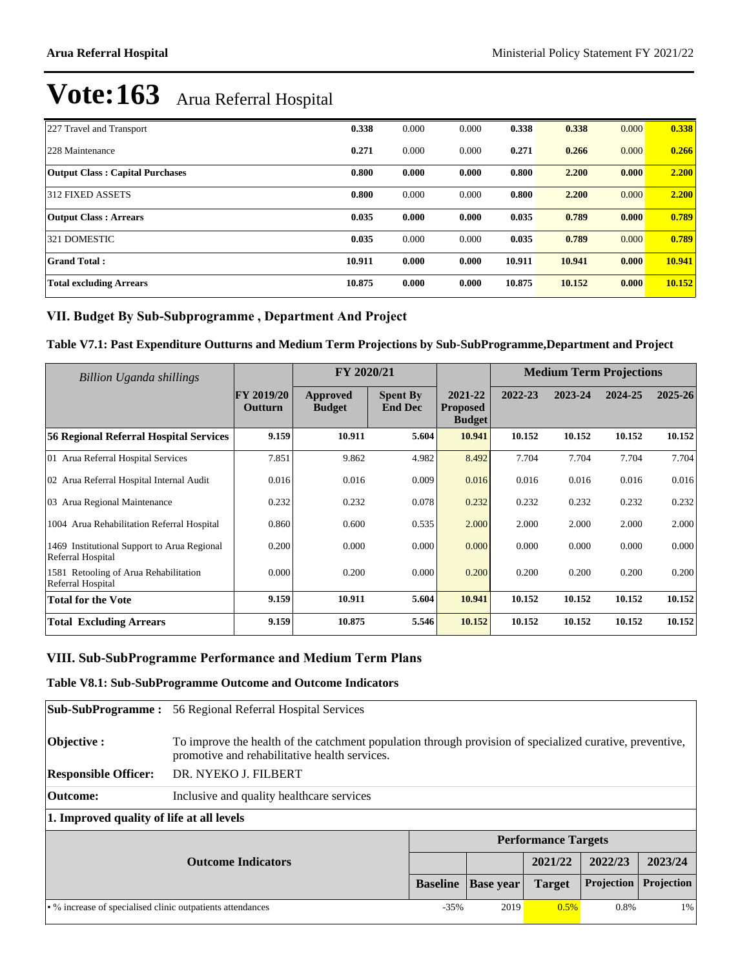| 227 Travel and Transport               | 0.338  | 0.000 | 0.000 | 0.338  | 0.338  | 0.000 | 0.338  |
|----------------------------------------|--------|-------|-------|--------|--------|-------|--------|
| 228 Maintenance                        | 0.271  | 0.000 | 0.000 | 0.271  | 0.266  | 0.000 | 0.266  |
| <b>Output Class: Capital Purchases</b> | 0.800  | 0.000 | 0.000 | 0.800  | 2.200  | 0.000 | 2.200  |
| 312 FIXED ASSETS                       | 0.800  | 0.000 | 0.000 | 0.800  | 2.200  | 0.000 | 2.200  |
| <b>Output Class: Arrears</b>           | 0.035  | 0.000 | 0.000 | 0.035  | 0.789  | 0.000 | 0.789  |
| 321 DOMESTIC                           | 0.035  | 0.000 | 0.000 | 0.035  | 0.789  | 0.000 | 0.789  |
| <b>Grand Total:</b>                    | 10.911 | 0.000 | 0.000 | 10.911 | 10.941 | 0.000 | 10.941 |
| <b>Total excluding Arrears</b>         | 10.875 | 0.000 | 0.000 | 10.875 | 10.152 | 0.000 | 10.152 |

#### VII. Budget By Sub-Subprogramme, Department And Project

#### **Table V7.1: Past Expenditure Outturns and Medium Term Projections by Sub-SubProgramme,Department and Project**

| Billion Uganda shillings                                         |                              | FY 2020/21                |                                   |                                             |         | <b>Medium Term Projections</b> |         |         |
|------------------------------------------------------------------|------------------------------|---------------------------|-----------------------------------|---------------------------------------------|---------|--------------------------------|---------|---------|
|                                                                  | <b>FY 2019/20</b><br>Outturn | Approved<br><b>Budget</b> | <b>Spent By</b><br><b>End Dec</b> | 2021-22<br><b>Proposed</b><br><b>Budget</b> | 2022-23 | 2023-24                        | 2024-25 | 2025-26 |
| <b>56 Regional Referral Hospital Services</b>                    | 9.159                        | 10.911                    | 5.604                             | 10.941                                      | 10.152  | 10.152                         | 10.152  | 10.152  |
| 01 Arua Referral Hospital Services                               | 7.851                        | 9.862                     | 4.982                             | 8.492                                       | 7.704   | 7.704                          | 7.704   | 7.704   |
| 02 Arua Referral Hospital Internal Audit                         | 0.016                        | 0.016                     | 0.009                             | 0.016                                       | 0.016   | 0.016                          | 0.016   | 0.016   |
| 03 Arua Regional Maintenance                                     | 0.232                        | 0.232                     | 0.078                             | 0.232                                       | 0.232   | 0.232                          | 0.232   | 0.232   |
| 1004 Arua Rehabilitation Referral Hospital                       | 0.860                        | 0.600                     | 0.535                             | 2.000                                       | 2.000   | 2.000                          | 2.000   | 2.000   |
| 1469 Institutional Support to Arua Regional<br>Referral Hospital | 0.200                        | 0.000                     | 0.000                             | 0.000                                       | 0.000   | 0.000                          | 0.000   | 0.000   |
| 1581 Retooling of Arua Rehabilitation<br>Referral Hospital       | 0.000                        | 0.200                     | 0.000                             | 0.200                                       | 0.200   | 0.200                          | 0.200   | 0.200   |
| <b>Total for the Vote</b>                                        | 9.159                        | 10.911                    | 5.604                             | 10.941                                      | 10.152  | 10.152                         | 10.152  | 10.152  |
| <b>Total Excluding Arrears</b>                                   | 9.159                        | 10.875                    | 5.546                             | 10.152                                      | 10.152  | 10.152                         | 10.152  | 10.152  |

#### VIII. Sub-SubProgramme Performance and Medium Term Plans

#### **Table V8.1: Sub-SubProgramme Outcome and Outcome Indicators**

| <b>Sub-SubProgramme :</b>                                  | 56 Regional Referral Hospital Services                                                                                                                    |                 |                  |                            |            |            |  |
|------------------------------------------------------------|-----------------------------------------------------------------------------------------------------------------------------------------------------------|-----------------|------------------|----------------------------|------------|------------|--|
| Objective:                                                 | To improve the health of the catchment population through provision of specialized curative, preventive,<br>promotive and rehabilitative health services. |                 |                  |                            |            |            |  |
| <b>Responsible Officer:</b>                                | DR. NYEKO J. FILBERT                                                                                                                                      |                 |                  |                            |            |            |  |
| Outcome:                                                   | Inclusive and quality healthcare services                                                                                                                 |                 |                  |                            |            |            |  |
| 1. Improved quality of life at all levels                  |                                                                                                                                                           |                 |                  |                            |            |            |  |
|                                                            |                                                                                                                                                           |                 |                  | <b>Performance Targets</b> |            |            |  |
|                                                            | <b>Outcome Indicators</b>                                                                                                                                 |                 |                  | 2021/22                    | 2022/23    | 2023/24    |  |
|                                                            |                                                                                                                                                           | <b>Baseline</b> | <b>Base</b> year | <b>Target</b>              | Projection | Projection |  |
| • % increase of specialised clinic outpatients attendances |                                                                                                                                                           |                 | 2019             | 0.5%                       | 0.8%       | 1%         |  |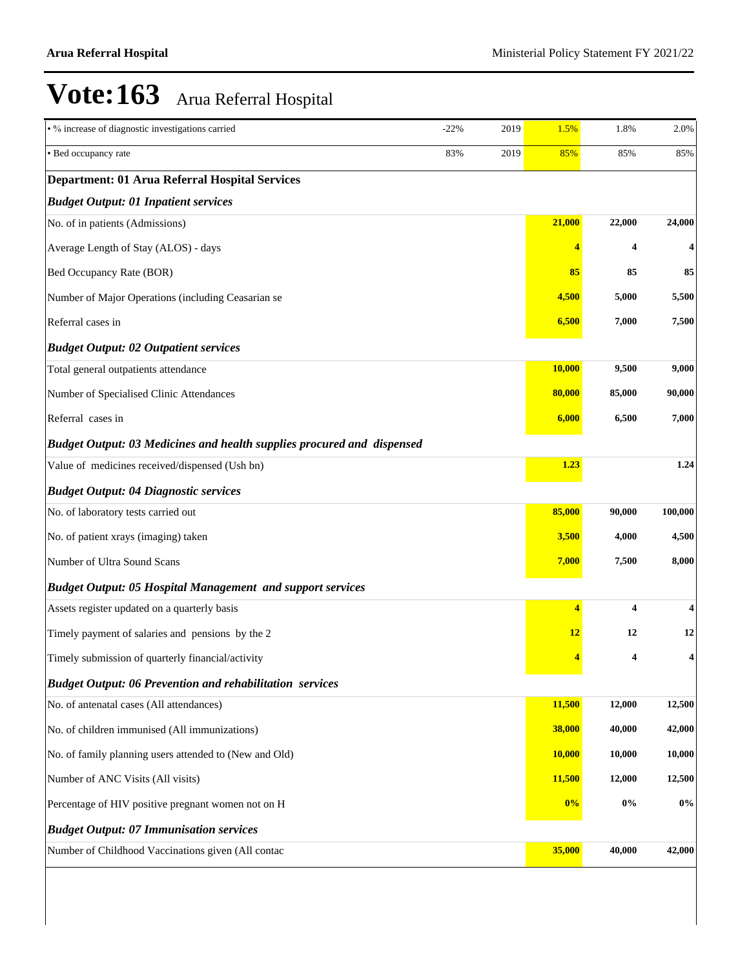| • % increase of diagnostic investigations carried                      | $-22%$ | 2019 | 1.5%   | 1.8%   | 2.0%                    |
|------------------------------------------------------------------------|--------|------|--------|--------|-------------------------|
| • Bed occupancy rate                                                   | 83%    | 2019 | 85%    | 85%    | 85%                     |
| <b>Department: 01 Arua Referral Hospital Services</b>                  |        |      |        |        |                         |
| <b>Budget Output: 01 Inpatient services</b>                            |        |      |        |        |                         |
| No. of in patients (Admissions)                                        |        |      | 21,000 | 22,000 | 24,000                  |
| Average Length of Stay (ALOS) - days                                   |        |      | 4      | 4      | 4                       |
| Bed Occupancy Rate (BOR)                                               |        |      | 85     | 85     | 85                      |
| Number of Major Operations (including Ceasarian se                     |        |      | 4,500  | 5,000  | 5,500                   |
| Referral cases in                                                      |        |      | 6,500  | 7,000  | 7,500                   |
| <b>Budget Output: 02 Outpatient services</b>                           |        |      |        |        |                         |
| Total general outpatients attendance                                   |        |      | 10,000 | 9,500  | 9,000                   |
| Number of Specialised Clinic Attendances                               |        |      | 80,000 | 85,000 | 90,000                  |
| Referral cases in                                                      |        |      | 6,000  | 6,500  | 7,000                   |
| Budget Output: 03 Medicines and health supplies procured and dispensed |        |      |        |        |                         |
| Value of medicines received/dispensed (Ush bn)                         |        |      | 1.23   |        | 1.24                    |
| <b>Budget Output: 04 Diagnostic services</b>                           |        |      |        |        |                         |
| No. of laboratory tests carried out                                    |        |      | 85,000 | 90,000 | 100,000                 |
| No. of patient xrays (imaging) taken                                   |        |      | 3,500  | 4,000  | 4,500                   |
| Number of Ultra Sound Scans                                            |        |      | 7,000  | 7,500  | 8,000                   |
| <b>Budget Output: 05 Hospital Management and support services</b>      |        |      |        |        |                         |
| Assets register updated on a quarterly basis                           |        |      | 4      | 4      | $\overline{\mathbf{4}}$ |
| Timely payment of salaries and pensions by the 2                       |        |      | 12     | 12     | 12                      |
| Timely submission of quarterly financial/activity                      |        |      | 4      | 4      | 4                       |
| <b>Budget Output: 06 Prevention and rehabilitation services</b>        |        |      |        |        |                         |
| No. of antenatal cases (All attendances)                               |        |      | 11,500 | 12,000 | 12,500                  |
| No. of children immunised (All immunizations)                          |        |      | 38,000 | 40,000 | 42,000                  |
| No. of family planning users attended to (New and Old)                 |        |      | 10,000 | 10,000 | 10,000                  |
| Number of ANC Visits (All visits)                                      |        |      | 11,500 | 12,000 | 12,500                  |
| Percentage of HIV positive pregnant women not on H                     |        |      | 0%     | $0\%$  | $0\%$                   |
| <b>Budget Output: 07 Immunisation services</b>                         |        |      |        |        |                         |
| Number of Childhood Vaccinations given (All contac                     |        |      | 35,000 | 40,000 | 42,000                  |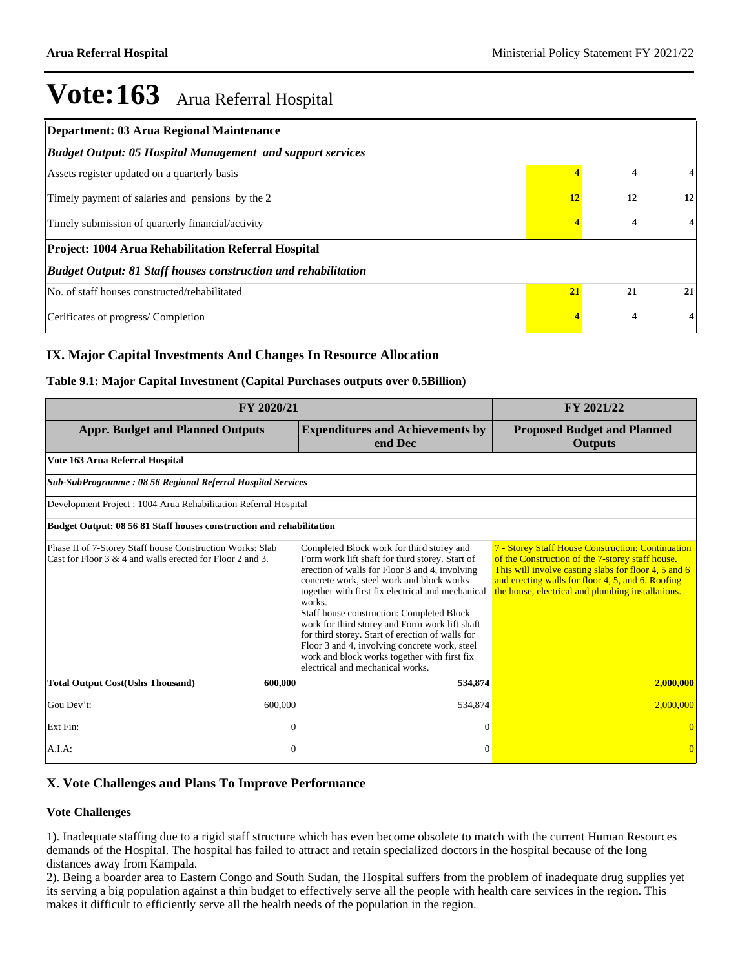| Department: 03 Arua Regional Maintenance                              |    |    |                         |
|-----------------------------------------------------------------------|----|----|-------------------------|
| <b>Budget Output: 05 Hospital Management and support services</b>     |    |    |                         |
| Assets register updated on a quarterly basis                          |    | 4  | 4                       |
| Timely payment of salaries and pensions by the 2                      | 12 | 12 | 12                      |
| Timely submission of quarterly financial/activity                     |    | 4  | $\overline{\mathbf{4}}$ |
| Project: 1004 Arua Rehabilitation Referral Hospital                   |    |    |                         |
| <b>Budget Output: 81 Staff houses construction and rehabilitation</b> |    |    |                         |
| No. of staff houses constructed/rehabilitated                         | 21 | 21 | 21                      |
| Cerificates of progress/Completion                                    |    | 4  | 4                       |

#### **IX. Major Capital Investments And Changes In Resource Allocation**

#### **Table 9.1: Major Capital Investment (Capital Purchases outputs over 0.5Billion)**

|                                                                                                                           | FY 2021/22 |                                                                                                                                                                                                                                                                                                                                                                                                                                                                                                                                                    |                                                                                                                                                                                                                                                                         |
|---------------------------------------------------------------------------------------------------------------------------|------------|----------------------------------------------------------------------------------------------------------------------------------------------------------------------------------------------------------------------------------------------------------------------------------------------------------------------------------------------------------------------------------------------------------------------------------------------------------------------------------------------------------------------------------------------------|-------------------------------------------------------------------------------------------------------------------------------------------------------------------------------------------------------------------------------------------------------------------------|
| <b>Appr. Budget and Planned Outputs</b>                                                                                   |            | <b>Expenditures and Achievements by</b><br>end Dec                                                                                                                                                                                                                                                                                                                                                                                                                                                                                                 | <b>Proposed Budget and Planned</b><br><b>Outputs</b>                                                                                                                                                                                                                    |
| Vote 163 Arua Referral Hospital                                                                                           |            |                                                                                                                                                                                                                                                                                                                                                                                                                                                                                                                                                    |                                                                                                                                                                                                                                                                         |
| Sub-SubProgramme: 08 56 Regional Referral Hospital Services                                                               |            |                                                                                                                                                                                                                                                                                                                                                                                                                                                                                                                                                    |                                                                                                                                                                                                                                                                         |
| Development Project: 1004 Arua Rehabilitation Referral Hospital                                                           |            |                                                                                                                                                                                                                                                                                                                                                                                                                                                                                                                                                    |                                                                                                                                                                                                                                                                         |
| Budget Output: 08 56 81 Staff houses construction and rehabilitation                                                      |            |                                                                                                                                                                                                                                                                                                                                                                                                                                                                                                                                                    |                                                                                                                                                                                                                                                                         |
| Phase II of 7-Storey Staff house Construction Works: Slab<br>Cast for Floor $3 \& 4$ and walls erected for Floor 2 and 3. |            | Completed Block work for third storey and<br>Form work lift shaft for third storey. Start of<br>erection of walls for Floor 3 and 4, involving<br>concrete work, steel work and block works<br>together with first fix electrical and mechanical<br>works.<br>Staff house construction: Completed Block<br>work for third storey and Form work lift shaft<br>for third storey. Start of erection of walls for<br>Floor 3 and 4, involving concrete work, steel<br>work and block works together with first fix<br>electrical and mechanical works. | 7 - Storey Staff House Construction: Continuation<br>of the Construction of the 7-storey staff house.<br>This will involve casting slabs for floor 4, 5 and 6<br>and erecting walls for floor 4, 5, and 6. Roofing<br>the house, electrical and plumbing installations. |
| <b>Total Output Cost(Ushs Thousand)</b>                                                                                   | 600,000    | 534,874                                                                                                                                                                                                                                                                                                                                                                                                                                                                                                                                            | 2,000,000                                                                                                                                                                                                                                                               |
| Gou Dev't:                                                                                                                | 600,000    | 534,874                                                                                                                                                                                                                                                                                                                                                                                                                                                                                                                                            | 2,000,000                                                                                                                                                                                                                                                               |
| Ext Fin:                                                                                                                  | $\theta$   | $\Omega$                                                                                                                                                                                                                                                                                                                                                                                                                                                                                                                                           |                                                                                                                                                                                                                                                                         |
| A.I.A:                                                                                                                    | $\Omega$   | $\Omega$                                                                                                                                                                                                                                                                                                                                                                                                                                                                                                                                           |                                                                                                                                                                                                                                                                         |

#### **X. Vote Challenges and Plans To Improve Performance**

#### **Vote Challenges**

1). Inadequate staffing due to a rigid staff structure which has even become obsolete to match with the current Human Resources demands of the Hospital. The hospital has failed to attract and retain specialized doctors in the hospital because of the long distances away from Kampala.

2). Being a boarder area to Eastern Congo and South Sudan, the Hospital suffers from the problem of inadequate drug supplies yet its serving a big population against a thin budget to effectively serve all the people with health care services in the region. This makes it difficult to efficiently serve all the health needs of the population in the region.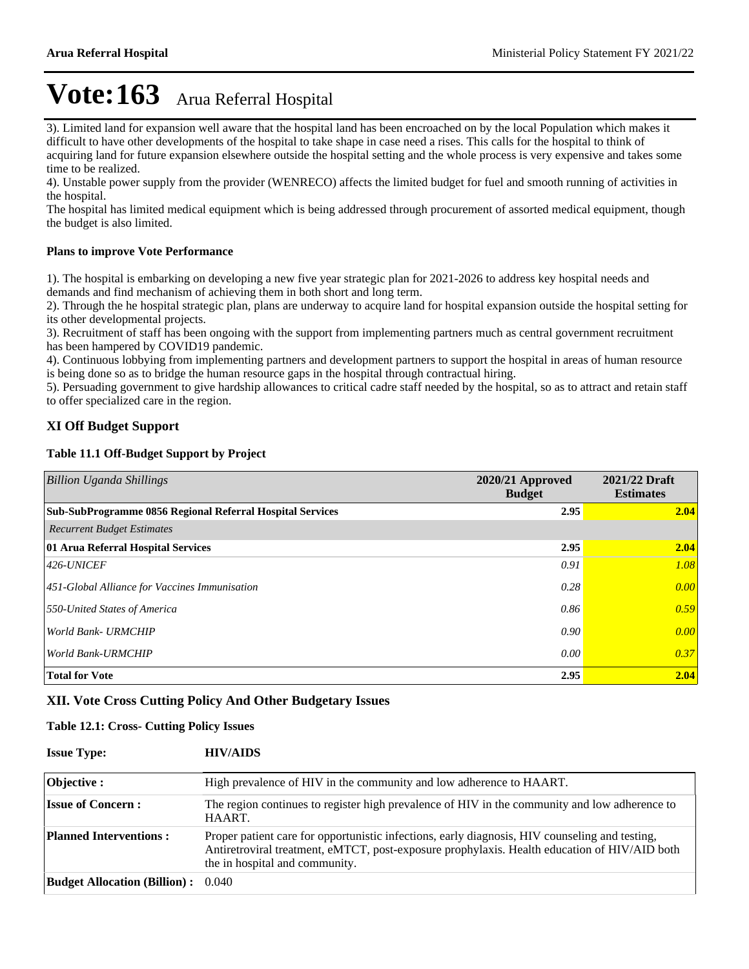3). Limited land for expansion well aware that the hospital land has been encroached on by the local Population which makes it difficult to have other developments of the hospital to take shape in case need a rises. This calls for the hospital to think of acquiring land for future expansion elsewhere outside the hospital setting and the whole process is very expensive and takes some time to be realized.

4). Unstable power supply from the provider (WENRECO) affects the limited budget for fuel and smooth running of activities in the hospital.

The hospital has limited medical equipment which is being addressed through procurement of assorted medical equipment, though the budget is also limited.

#### **Plans to improve Vote Performance**

1). The hospital is embarking on developing a new five year strategic plan for 2021-2026 to address key hospital needs and demands and find mechanism of achieving them in both short and long term.

2). Through the he hospital strategic plan, plans are underway to acquire land for hospital expansion outside the hospital setting for its other developmental projects.

3). Recruitment of staff has been ongoing with the support from implementing partners much as central government recruitment has been hampered by COVID19 pandemic.

4). Continuous lobbying from implementing partners and development partners to support the hospital in areas of human resource is being done so as to bridge the human resource gaps in the hospital through contractual hiring.

5). Persuading government to give hardship allowances to critical cadre staff needed by the hospital, so as to attract and retain staff to offer specialized care in the region.

#### **XI Off Budget Support**

#### **Table 11.1 Off-Budget Support by Project**

| <b>Billion Uganda Shillings</b>                           | 2020/21 Approved<br><b>Budget</b> | 2021/22 Draft<br><b>Estimates</b> |
|-----------------------------------------------------------|-----------------------------------|-----------------------------------|
| Sub-SubProgramme 0856 Regional Referral Hospital Services | 2.95                              | 2.04                              |
| <b>Recurrent Budget Estimates</b>                         |                                   |                                   |
| 01 Arua Referral Hospital Services                        | 2.95                              | 2.04                              |
| $ 426$ -UNICEF                                            | 0.91                              | 1.08                              |
| 451-Global Alliance for Vaccines Immunisation             | 0.28                              | 0.00                              |
| 550-United States of America                              | 0.86                              | 0.59                              |
| World Bank- URMCHIP                                       | 0.90                              | 0.00                              |
| World Bank-URMCHIP                                        | 0.00                              | 0.37                              |
| <b>Total for Vote</b>                                     | 2.95                              | 2.04                              |

#### **XII. Vote Cross Cutting Policy And Other Budgetary Issues**

#### **Table 12.1: Cross- Cutting Policy Issues**

| <b>Issue Type:</b>                        | <b>HIV/AIDS</b>                                                                                                                                                                                                                  |
|-------------------------------------------|----------------------------------------------------------------------------------------------------------------------------------------------------------------------------------------------------------------------------------|
| <b>Objective:</b>                         | High prevalence of HIV in the community and low adherence to HAART.                                                                                                                                                              |
| <b>Issue of Concern:</b>                  | The region continues to register high prevalence of HIV in the community and low adherence to<br>HAART.                                                                                                                          |
| <b>Planned Interventions:</b>             | Proper patient care for opportunistic infections, early diagnosis, HIV counseling and testing,<br>Antiretroviral treatment, eMTCT, post-exposure prophylaxis. Health education of HIV/AID both<br>the in hospital and community. |
| <b>Budget Allocation (Billion):</b> 0.040 |                                                                                                                                                                                                                                  |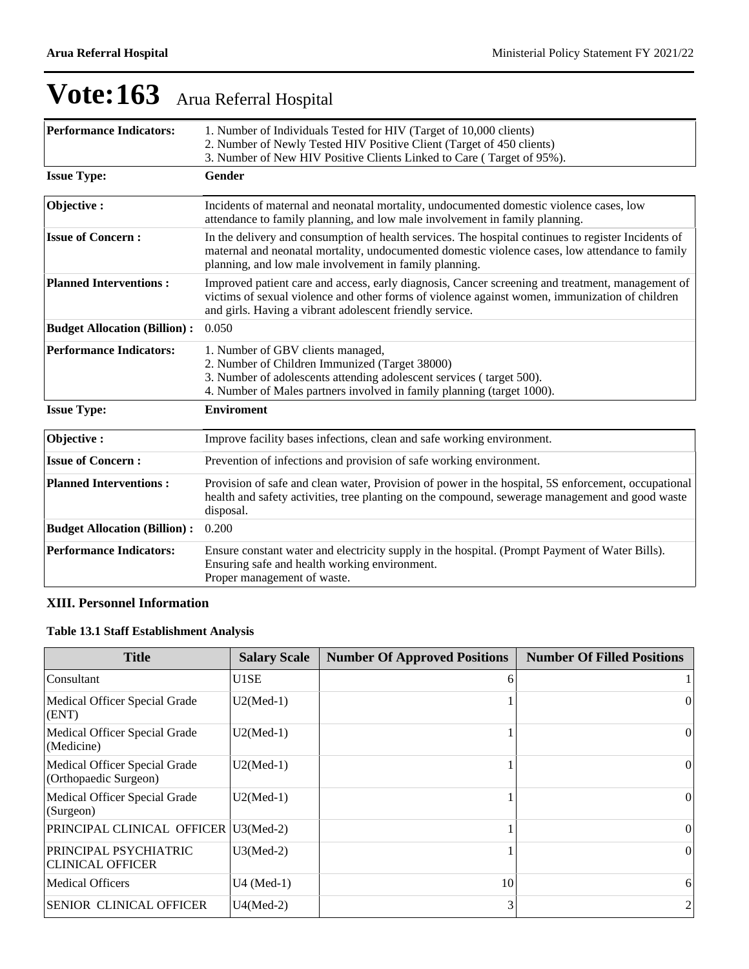| <b>Performance Indicators:</b>      | 1. Number of Individuals Tested for HIV (Target of 10,000 clients)<br>2. Number of Newly Tested HIV Positive Client (Target of 450 clients)<br>3. Number of New HIV Positive Clients Linked to Care (Target of 95%).                                             |
|-------------------------------------|------------------------------------------------------------------------------------------------------------------------------------------------------------------------------------------------------------------------------------------------------------------|
| <b>Issue Type:</b>                  | <b>Gender</b>                                                                                                                                                                                                                                                    |
| Objective:                          | Incidents of maternal and neonatal mortality, undocumented domestic violence cases, low<br>attendance to family planning, and low male involvement in family planning.                                                                                           |
| <b>Issue of Concern:</b>            | In the delivery and consumption of health services. The hospital continues to register Incidents of<br>maternal and neonatal mortality, undocumented domestic violence cases, low attendance to family<br>planning, and low male involvement in family planning. |
| <b>Planned Interventions:</b>       | Improved patient care and access, early diagnosis, Cancer screening and treatment, management of<br>victims of sexual violence and other forms of violence against women, immunization of children<br>and girls. Having a vibrant adolescent friendly service.   |
| <b>Budget Allocation (Billion):</b> | 0.050                                                                                                                                                                                                                                                            |
| <b>Performance Indicators:</b>      | 1. Number of GBV clients managed,<br>2. Number of Children Immunized (Target 38000)<br>3. Number of adolescents attending adolescent services (target 500).<br>4. Number of Males partners involved in family planning (target 1000).                            |
| <b>Issue Type:</b>                  | <b>Enviroment</b>                                                                                                                                                                                                                                                |
| Objective:                          | Improve facility bases infections, clean and safe working environment.                                                                                                                                                                                           |
| <b>Issue of Concern:</b>            | Prevention of infections and provision of safe working environment.                                                                                                                                                                                              |
| <b>Planned Interventions:</b>       | Provision of safe and clean water, Provision of power in the hospital, 5S enforcement, occupational<br>health and safety activities, tree planting on the compound, sewerage management and good waste<br>disposal.                                              |
| <b>Budget Allocation (Billion):</b> | 0.200                                                                                                                                                                                                                                                            |
| <b>Performance Indicators:</b>      | Ensure constant water and electricity supply in the hospital. (Prompt Payment of Water Bills).<br>Ensuring safe and health working environment.<br>Proper management of waste.                                                                                   |

#### **XIII. Personnel Information**

#### **Table 13.1 Staff Establishment Analysis**

| <b>Title</b>                                           | <b>Salary Scale</b> | <b>Number Of Approved Positions</b> | <b>Number Of Filled Positions</b> |
|--------------------------------------------------------|---------------------|-------------------------------------|-----------------------------------|
| Consultant                                             | U1SE                | 6                                   |                                   |
| Medical Officer Special Grade<br>(ENT)                 | $U2(Med-1)$         |                                     | 0                                 |
| Medical Officer Special Grade<br>(Medicine)            | $U2(Med-1)$         |                                     | 0                                 |
| Medical Officer Special Grade<br>(Orthopaedic Surgeon) | $U2(Med-1)$         |                                     | $\Omega$                          |
| Medical Officer Special Grade<br>(Surgeon)             | $U2(Med-1)$         |                                     | $\theta$                          |
| PRINCIPAL CLINICAL OFFICER   U3(Med-2)                 |                     |                                     | $\Omega$                          |
| PRINCIPAL PSYCHIATRIC<br><b>CLINICAL OFFICER</b>       | $U3(Med-2)$         |                                     | $\theta$                          |
| <b>Medical Officers</b>                                | $U4$ (Med-1)        | 10                                  | 6                                 |
| <b>SENIOR CLINICAL OFFICER</b>                         | $U4(Med-2)$         | 3                                   | 2                                 |